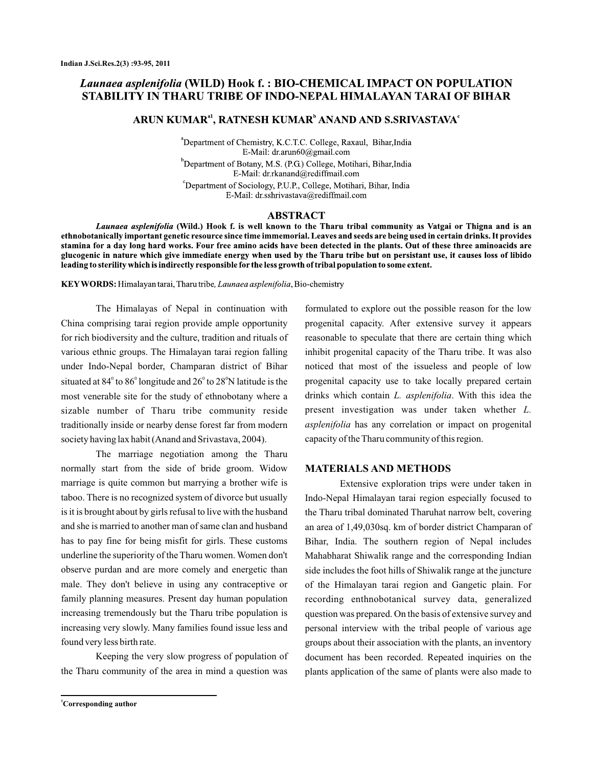# Launaea asplenifolia (WILD) Hook f.: BIO-CHEMICAL IMPACT ON POPULATION STABILITY IN THARU TRIBE OF INDO-NEPAL HIMALAYAN TARAI OF BIHAR

## ARUN KUMAR<sup>a1</sup>, RATNESH KUMAR<sup>b</sup> ANAND AND S.SRIVASTAVA<sup>c</sup>

<sup>a</sup>Department of Chemistry, K.C.T.C. College, Raxaul, Bihar, India E-Mail: dr.arun60@gmail.com <sup>o</sup>Department of Botany, M.S. (P.G.) College, Motihari, Bihar, India E-Mail: dr.rkanand@rediffmail.com <sup>c</sup>Department of Sociology, P.U.P., College, Motihari, Bihar, India E-Mail: dr.sshrivastava@rediffmail.com

#### **ABSTRACT**

Launaea asplenifolia (Wild.) Hook f. is well known to the Tharu tribal community as Vatgai or Thigna and is an ethnobotanically important genetic resource since time immemorial. Leaves and seeds are being used in certain drinks. It provides stamina for a day long hard works. Four free amino acids have been detected in the plants. Out of these three aminoacids are glucogenic in nature which give immediate energy when used by the Tharu tribe but on persistant use, it causes loss of libido leading to sterility which is indirectly responsible for the less growth of tribal population to some extent.

KEY WORDS: Himalayan tarai, Tharu tribe, Launaea asplenifolia, Bio-chemistry

The Himalayas of Nepal in continuation with China comprising tarai region provide ample opportunity for rich biodiversity and the culture, tradition and rituals of various ethnic groups. The Himalayan tarai region falling under Indo-Nepal border, Champaran district of Bihar situated at 84 $^{\rm o}$  to 86 $^{\rm o}$  longitude and 26 $^{\rm o}$  to 28 $^{\rm o}$ N latitude is the most venerable site for the study of ethnobotany where a sizable number of Tharu tribe community reside traditionally inside or nearby dense forest far from modern society having lax habit (Anand and Srivastava, 2004).

The marriage negotiation among the Tharu normally start from the side of bride groom. Widow marriage is quite common but marrying a brother wife is taboo. There is no recognized system of divorce but usually is it is brought about by girls refusal to live with the husband and she is married to another man of same clan and husband has to pay fine for being misfit for girls. These customs underline the superiority of the Tharu women. Women don't observe purdan and are more comely and energetic than male. They don't believe in using any contraceptive or family planning measures. Present day human population increasing tremendously but the Tharu tribe population is increasing very slowly. Many families found issue less and found very less birth rate.

Keeping the very slow progress of population of the Tharu community of the area in mind a question was

formulated to explore out the possible reason for the low progenital capacity. After extensive survey it appears reasonable to speculate that there are certain thing which inhibit progenital capacity of the Tharu tribe. It was also noticed that most of the issueless and people of low progenital capacity use to take locally prepared certain drinks which contain *L. asplenifolia*. With this idea the present investigation was under taken whether *L.* asplenifolia has any correlation or impact on progenital capacity of the Tharu community of this region.

#### **MATERIALS AND METHODS**

Extensive exploration trips were under taken in Indo-Nepal Himalayan tarai region especially focused to the Tharu tribal dominated Tharuhat narrow belt, covering an area of 1,49,030sq. km of border district Champaran of Bihar, India. The southern region of Nepal includes Mahabharat Shiwalik range and the corresponding Indian side includes the foot hills of Shiwalik range at the juncture of the Himalayan tarai region and Gangetic plain. For recording enthnobotanical survey data, generalized question was prepared. On the basis of extensive survey and personal interview with the tribal people of various age groups about their association with the plants, an inventory document has been recorded. Repeated inquiries on the plants application of the same of plants were also made to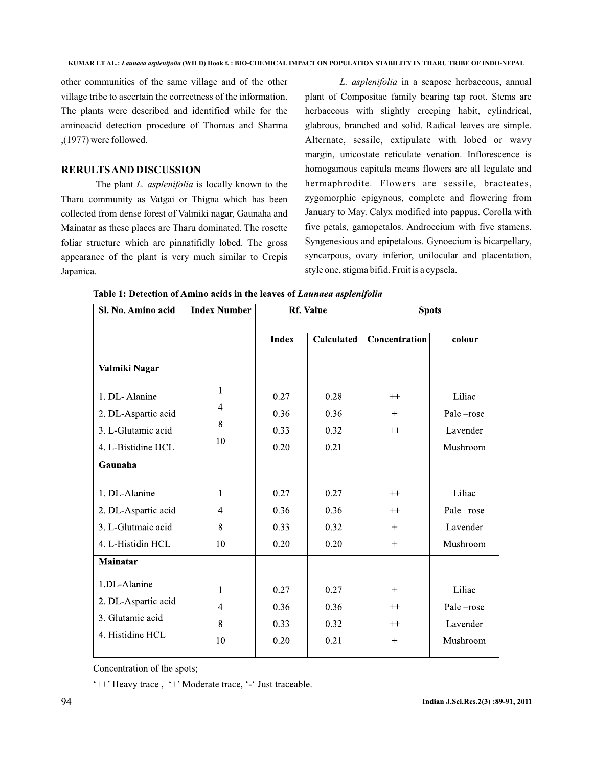other communities of the same village and of the other village tribe to ascertain the correctness of the information. The plants were described and identified while for the aminoacid detection procedure of Thomas and Sharma ,(1977) were followed.

## **RERULTSAND DISCUSSION**

The plant *L. asplenifolia* is locally known to the Tharu community as Vatgai or Thigna which has been collected from dense forest of Valmiki nagar, Gaunaha and Mainatar as these places are Tharu dominated. The rosette foliar structure which are pinnatifidly lobed. The gross appearance of the plant is very much similar to Crepis Japanica.

L. asplenifolia in a scapose herbaceous, annual plant of Compositae family bearing tap root. Stems are herbaceous with slightly creeping habit, cylindrical, glabrous, branched and solid. Radical leaves are simple. Alternate, sessile, extipulate with lobed or wavy margin, unicostate reticulate venation. Inflorescence is homogamous capitula means flowers are all legulate and hermaphrodite. Flowers are sessile, bracteates, zygomorphic epigynous, complete and flowering from January to May. Calyx modified into pappus. Corolla with five petals, gamopetalos. Androecium with five stamens. Syngenesious and epipetalous. Gynoecium is bicarpellary, syncarpous, ovary inferior, unilocular and placentation, style one, stigma bifid. Fruit is a cypsela.

| Sl. No. Amino acid  | <b>Index Number</b> | <b>Rf. Value</b> |            | <b>Spots</b>  |           |
|---------------------|---------------------|------------------|------------|---------------|-----------|
|                     |                     | <b>Index</b>     | Calculated | Concentration | colour    |
| Valmiki Nagar       |                     |                  |            |               |           |
| 1. DL-Alanine       | 1                   | 0.27             | 0.28       | $++$          | Liliac    |
| 2. DL-Aspartic acid | 4                   | 0.36             | 0.36       |               | Pale-rose |
| 3. L-Glutamic acid  | 8                   | 0.33             | 0.32       | $++$          | Lavender  |
| 4. L-Bistidine HCL  | 10                  | 0.20             | 0.21       |               | Mushroom  |
| Gaunaha             |                     |                  |            |               |           |
| 1. DL-Alanine       | 1                   | 0.27             | 0.27       | $++$          | Liliac    |
| 2. DL-Aspartic acid | 4                   | 0.36             | 0.36       | $++$          | Pale-rose |
| 3. L-Glutmaic acid  | 8                   | 0.33             | 0.32       | $^{+}$        | Lavender  |
| 4. L-Histidin HCL   | 10                  | 0.20             | 0.20       | $+$           | Mushroom  |
| Mainatar            |                     |                  |            |               |           |
| 1.DL-Alanine        | 1                   | 0.27             | 0.27       | $+$           | Liliac    |
| 2. DL-Aspartic acid | $\overline{4}$      | 0.36             | 0.36       | $++$          | Pale-rose |
| 3. Glutamic acid    | 8                   | 0.33             | 0.32       | $++$          | Lavender  |
| 4. Histidine HCL    | 10                  | 0.20             | 0.21       | $^{+}$        | Mushroom  |

Table 1: Detection of Amino acids in the leaves of Launaea asplenifolia

Concentration of the spots;

'++' Heavy trace, '+' Moderate trace, '-' Just traceable.